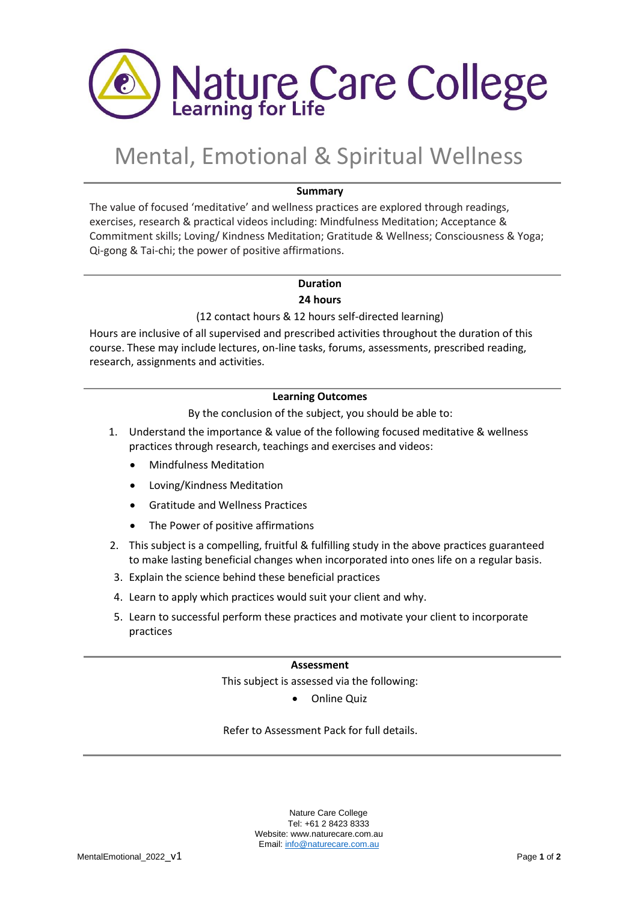

# Mental, Emotional & Spiritual Wellness

# **Summary**

The value of focused 'meditative' and wellness practices are explored through readings, exercises, research & practical videos including: Mindfulness Meditation; Acceptance & Commitment skills; Loving/ Kindness Meditation; Gratitude & Wellness; Consciousness & Yoga; Qi-gong & Tai-chi; the power of positive affirmations.

# **Duration**

# **24 hours**

# (12 contact hours & 12 hours self-directed learning)

Hours are inclusive of all supervised and prescribed activities throughout the duration of this course. These may include lectures, on-line tasks, forums, assessments, prescribed reading, research, assignments and activities.

# **Learning Outcomes**

By the conclusion of the subject, you should be able to:

- 1. Understand the importance & value of the following focused meditative & wellness practices through research, teachings and exercises and videos:
	- Mindfulness Meditation
	- Loving/Kindness Meditation
	- Gratitude and Wellness Practices
	- The Power of positive affirmations
- 2. This subject is a compelling, fruitful & fulfilling study in the above practices guaranteed to make lasting beneficial changes when incorporated into ones life on a regular basis.
- 3. Explain the science behind these beneficial practices
- 4. Learn to apply which practices would suit your client and why.
- 5. Learn to successful perform these practices and motivate your client to incorporate practices

#### **Assessment**

# This subject is assessed via the following:

• Online Quiz

Refer to Assessment Pack for full details.

Nature Care College Tel: +61 2 8423 8333 Website: www.naturecare.com.au Email: [info@naturecare.com.au](mailto:info@naturecare.com.au)